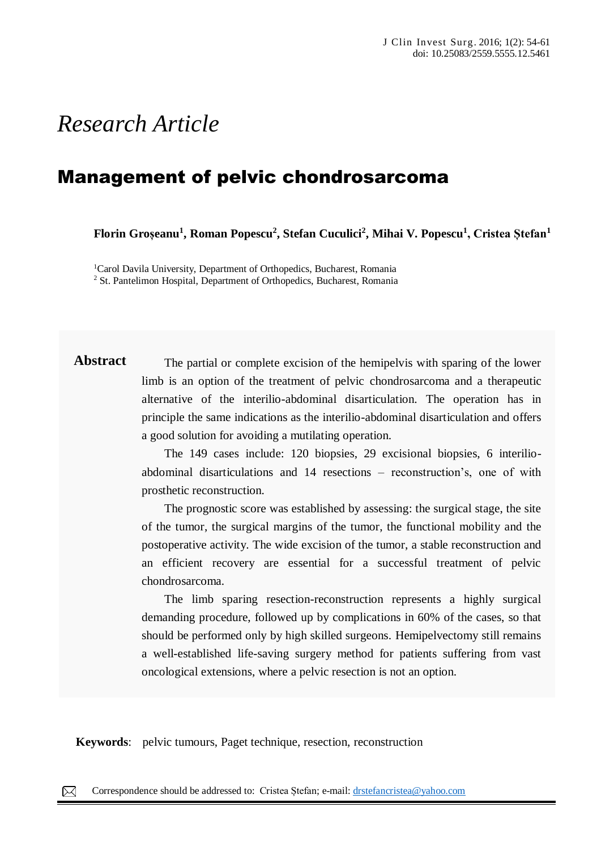# *Research Article*

## Management of pelvic chondrosarcoma

**Florin Groșeanu<sup>1</sup> , Roman Popescu<sup>2</sup> , Stefan Cuculici<sup>2</sup> , Mihai V. Popescu<sup>1</sup> , Cristea Ștefan<sup>1</sup>**

<sup>1</sup>Carol Davila University, Department of Orthopedics, Bucharest, Romania <sup>2</sup> St. Pantelimon Hospital, Department of Orthopedics, Bucharest, Romania

**Abstract** The partial or complete excision of the hemipelvis with sparing of the lower limb is an option of the treatment of pelvic chondrosarcoma and a therapeutic alternative of the interilio-abdominal disarticulation. The operation has in principle the same indications as the interilio-abdominal disarticulation and offers a good solution for avoiding a mutilating operation.

> The 149 cases include: 120 biopsies, 29 excisional biopsies, 6 interilioabdominal disarticulations and 14 resections – reconstruction's, one of with prosthetic reconstruction.

> The prognostic score was established by assessing: the surgical stage, the site of the tumor, the surgical margins of the tumor, the functional mobility and the postoperative activity. The wide excision of the tumor, a stable reconstruction and an efficient recovery are essential for a successful treatment of pelvic chondrosarcoma.

> The limb sparing resection-reconstruction represents a highly surgical demanding procedure, followed up by complications in 60% of the cases, so that should be performed only by high skilled surgeons. Hemipelvectomy still remains a well-established life-saving surgery method for patients suffering from vast oncological extensions, where a pelvic resection is not an option.

**Keywords:** pelvic tumours, Paget technique, resection, reconstruction  $A_{\rm c}$  rare, severe form of accessive form of accessive form of accessive of comedones,  $\alpha$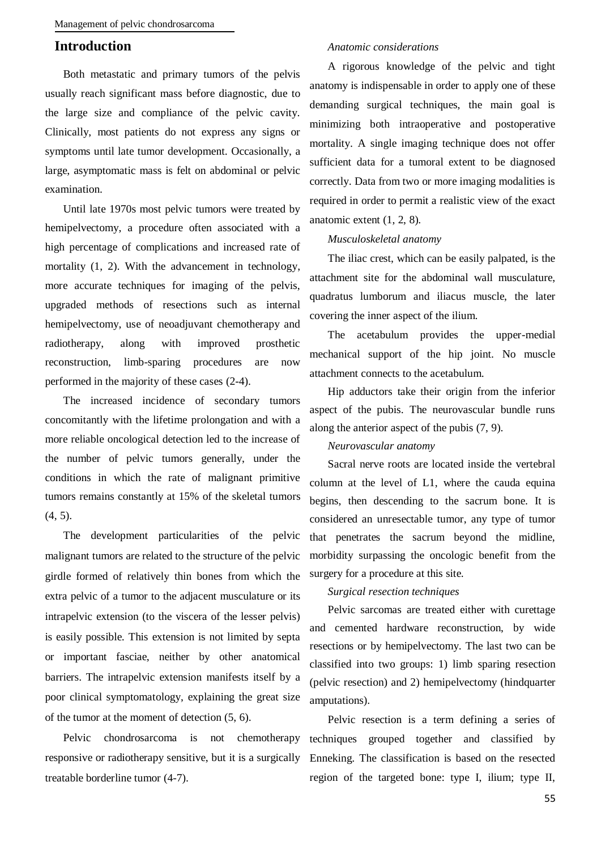## **Introduction**

Both metastatic and primary tumors of the pelvis usually reach significant mass before diagnostic, due to the large size and compliance of the pelvic cavity. Clinically, most patients do not express any signs or symptoms until late tumor development. Occasionally, a large, asymptomatic mass is felt on abdominal or pelvic examination.

Until late 1970s most pelvic tumors were treated by hemipelvectomy, a procedure often associated with a high percentage of complications and increased rate of mortality  $(1, 2)$ . With the advancement in technology, more accurate techniques for imaging of the pelvis, upgraded methods of resections such as internal hemipelvectomy, use of neoadjuvant chemotherapy and radiotherapy, along with improved prosthetic reconstruction, limb-sparing procedures are now performed in the majority of these cases (2-4).

The increased incidence of secondary tumors concomitantly with the lifetime prolongation and with a more reliable oncological detection led to the increase of the number of pelvic tumors generally, under the conditions in which the rate of malignant primitive tumors remains constantly at 15% of the skeletal tumors (4, 5).

The development particularities of the pelvic malignant tumors are related to the structure of the pelvic girdle formed of relatively thin bones from which the extra pelvic of a tumor to the adjacent musculature or its intrapelvic extension (to the viscera of the lesser pelvis) is easily possible. This extension is not limited by septa or important fasciae, neither by other anatomical barriers. The intrapelvic extension manifests itself by a poor clinical symptomatology, explaining the great size of the tumor at the moment of detection (5, 6).

Pelvic chondrosarcoma is not chemotherapy responsive or radiotherapy sensitive, but it is a surgically treatable borderline tumor (4-7).

#### *Anatomic considerations*

A rigorous knowledge of the pelvic and tight anatomy is indispensable in order to apply one of these demanding surgical techniques, the main goal is minimizing both intraoperative and postoperative mortality. A single imaging technique does not offer sufficient data for a tumoral extent to be diagnosed correctly. Data from two or more imaging modalities is required in order to permit a realistic view of the exact anatomic extent (1, 2, 8).

#### *Musculoskeletal anatomy*

The iliac crest, which can be easily palpated, is the attachment site for the abdominal wall musculature, quadratus lumborum and iliacus muscle, the later covering the inner aspect of the ilium.

The acetabulum provides the upper-medial mechanical support of the hip joint. No muscle attachment connects to the acetabulum.

Hip adductors take their origin from the inferior aspect of the pubis. The neurovascular bundle runs along the anterior aspect of the pubis (7, 9).

#### *Neurovascular anatomy*

Sacral nerve roots are located inside the vertebral column at the level of L1, where the cauda equina begins, then descending to the sacrum bone. It is considered an unresectable tumor, any type of tumor that penetrates the sacrum beyond the midline, morbidity surpassing the oncologic benefit from the surgery for a procedure at this site.

#### *Surgical resection techniques*

Pelvic sarcomas are treated either with curettage and cemented hardware reconstruction, by wide resections or by hemipelvectomy. The last two can be classified into two groups: 1) limb sparing resection (pelvic resection) and 2) hemipelvectomy (hindquarter amputations).

Pelvic resection is a term defining a series of techniques grouped together and classified by Enneking. The classification is based on the resected region of the targeted bone: type I, ilium; type II,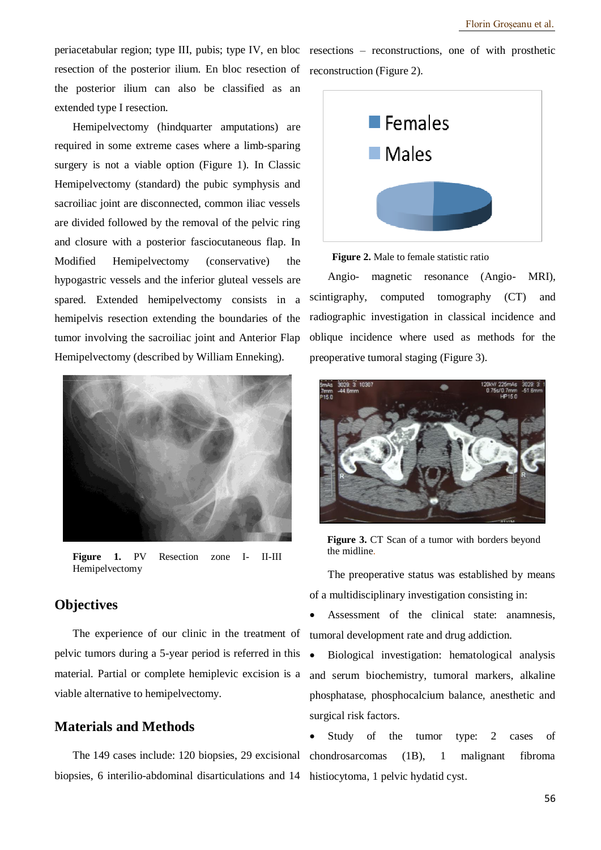resection of the posterior ilium. En bloc resection of reconstruction (Figure 2). the posterior ilium can also be classified as an extended type I resection.

Hemipelvectomy (hindquarter amputations) are required in some extreme cases where a limb-sparing surgery is not a viable option (Figure 1). In Classic Hemipelvectomy (standard) the pubic symphysis and sacroiliac joint are disconnected, common iliac vessels are divided followed by the removal of the pelvic ring and closure with a posterior fasciocutaneous flap. In Modified Hemipelvectomy (conservative) the hypogastric vessels and the inferior gluteal vessels are spared. Extended hemipelvectomy consists in a hemipelvis resection extending the boundaries of the tumor involving the sacroiliac joint and Anterior Flap Hemipelvectomy (described by William Enneking).



Figure 1. PV Resection zone I- II-III Hemipelvectomy

## **Objectives**

The experience of our clinic in the treatment of pelvic tumors during a 5-year period is referred in this material. Partial or complete hemiplevic excision is a viable alternative to hemipelvectomy.

## **Materials and Methods**

biopsies, 6 interilio-abdominal disarticulations and 14 histiocytoma, 1 pelvic hydatid cyst.

periacetabular region; type III, pubis; type IV, en bloc resections – reconstructions, one of with prosthetic



**Figure 2.** Male to female statistic ratio

Angio- magnetic resonance (Angio- MRI), scintigraphy, computed tomography (CT) and radiographic investigation in classical incidence and oblique incidence where used as methods for the preoperative tumoral staging (Figure 3).



**Figure 3.** CT Scan of a tumor with borders beyond the midline.

The preoperative status was established by means of a multidisciplinary investigation consisting in:

 Assessment of the clinical state: anamnesis, tumoral development rate and drug addiction.

 Biological investigation: hematological analysis and serum biochemistry, tumoral markers, alkaline phosphatase, phosphocalcium balance, anesthetic and surgical risk factors.

The 149 cases include: 120 biopsies, 29 excisional chondrosarcomas (1B), 1 malignant fibroma Study of the tumor type: 2 cases of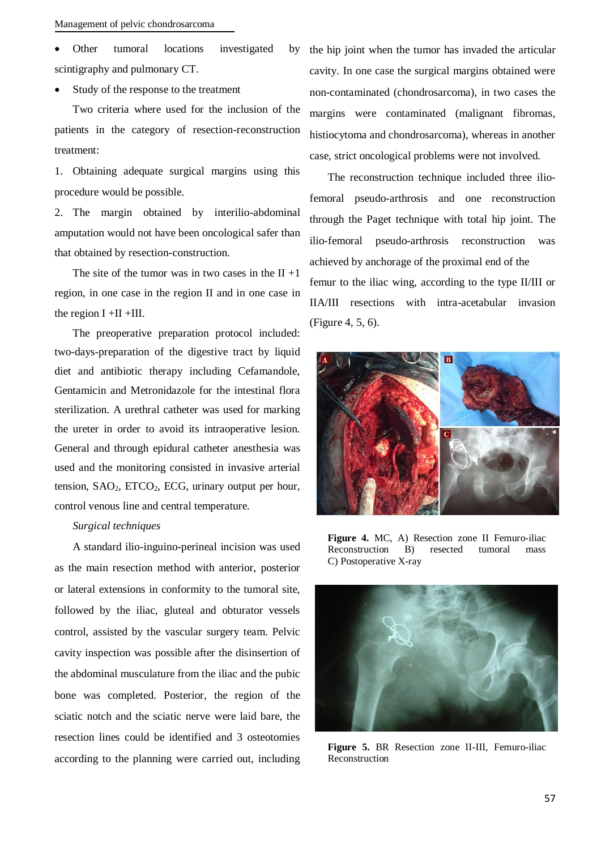Other tumoral locations investigated by scintigraphy and pulmonary CT.

Study of the response to the treatment

Two criteria where used for the inclusion of the patients in the category of resection-reconstruction treatment:

1. Obtaining adequate surgical margins using this procedure would be possible.

2. The margin obtained by interilio-abdominal amputation would not have been oncological safer than that obtained by resection-construction.

The site of the tumor was in two cases in the  $II +1$ region, in one case in the region II and in one case in the region  $I + II + III$ .

The preoperative preparation protocol included: two-days-preparation of the digestive tract by liquid diet and antibiotic therapy including Cefamandole, Gentamicin and Metronidazole for the intestinal flora sterilization. A urethral catheter was used for marking the ureter in order to avoid its intraoperative lesion. General and through epidural catheter anesthesia was used and the monitoring consisted in invasive arterial tension,  $SAO<sub>2</sub>$ ,  $ETCO<sub>2</sub>$ ,  $ECG$ , urinary output per hour, control venous line and central temperature.

#### *Surgical techniques*

A standard ilio-inguino-perineal incision was used as the main resection method with anterior, posterior or lateral extensions in conformity to the tumoral site, followed by the iliac, gluteal and obturator vessels control, assisted by the vascular surgery team. Pelvic cavity inspection was possible after the disinsertion of the abdominal musculature from the iliac and the pubic bone was completed. Posterior, the region of the sciatic notch and the sciatic nerve were laid bare, the resection lines could be identified and 3 osteotomies according to the planning were carried out, including

the hip joint when the tumor has invaded the articular cavity. In one case the surgical margins obtained were non-contaminated (chondrosarcoma), in two cases the margins were contaminated (malignant fibromas, histiocytoma and chondrosarcoma), whereas in another case, strict oncological problems were not involved.

The reconstruction technique included three iliofemoral pseudo-arthrosis and one reconstruction through the Paget technique with total hip joint. The ilio-femoral pseudo-arthrosis reconstruction was achieved by anchorage of the proximal end of the femur to the iliac wing, according to the type II/III or IIA/III resections with intra-acetabular invasion (Figure 4, 5, 6).



**Figure 4.** MC, A) Resection zone II Femuro-iliac Reconstruction B) resected tumoral mass C) Postoperative X-ray



**Figure 5.** BR Resection zone II-III, Femuro-iliac Reconstruction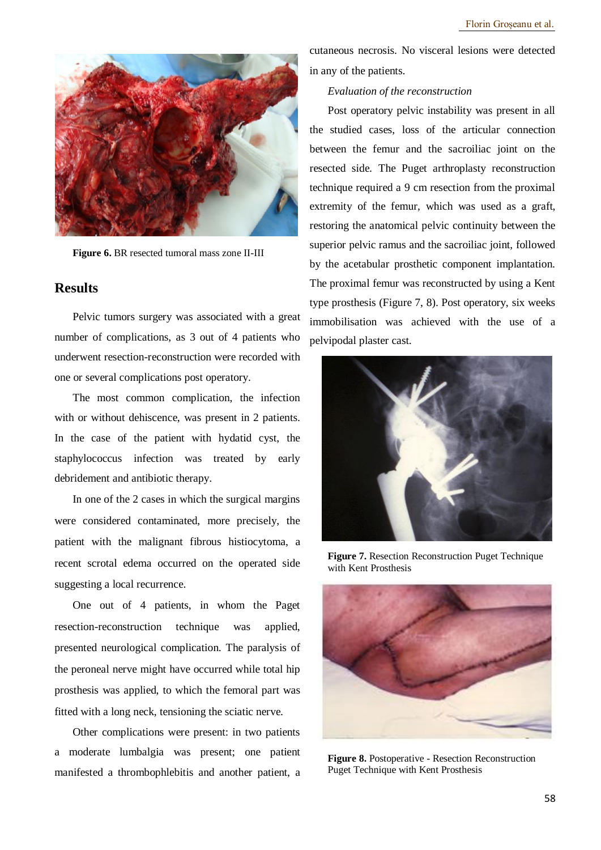

**Figure 6.** BR resected tumoral mass zone II-III

## **Results**

Pelvic tumors surgery was associated with a great number of complications, as 3 out of 4 patients who underwent resection-reconstruction were recorded with one or several complications post operatory.

The most common complication, the infection with or without dehiscence, was present in 2 patients. In the case of the patient with hydatid cyst, the staphylococcus infection was treated by early debridement and antibiotic therapy.

In one of the 2 cases in which the surgical margins were considered contaminated, more precisely, the patient with the malignant fibrous histiocytoma, a recent scrotal edema occurred on the operated side suggesting a local recurrence.

One out of 4 patients, in whom the Paget resection-reconstruction technique was applied, presented neurological complication. The paralysis of the peroneal nerve might have occurred while total hip prosthesis was applied, to which the femoral part was fitted with a long neck, tensioning the sciatic nerve.

Other complications were present: in two patients a moderate lumbalgia was present; one patient manifested a thrombophlebitis and another patient, a

cutaneous necrosis. No visceral lesions were detected in any of the patients.

#### *Evaluation of the reconstruction*

Post operatory pelvic instability was present in all the studied cases, loss of the articular connection between the femur and the sacroiliac joint on the resected side. The Puget arthroplasty reconstruction technique required a 9 cm resection from the proximal extremity of the femur, which was used as a graft, restoring the anatomical pelvic continuity between the superior pelvic ramus and the sacroiliac joint, followed by the acetabular prosthetic component implantation. The proximal femur was reconstructed by using a Kent type prosthesis (Figure 7, 8). Post operatory, six weeks immobilisation was achieved with the use of a pelvipodal plaster cast.



**Figure 7.** Resection Reconstruction Puget Technique with Kent Prosthesis



**Figure 8.** Postoperative - Resection Reconstruction Puget Technique with Kent Prosthesis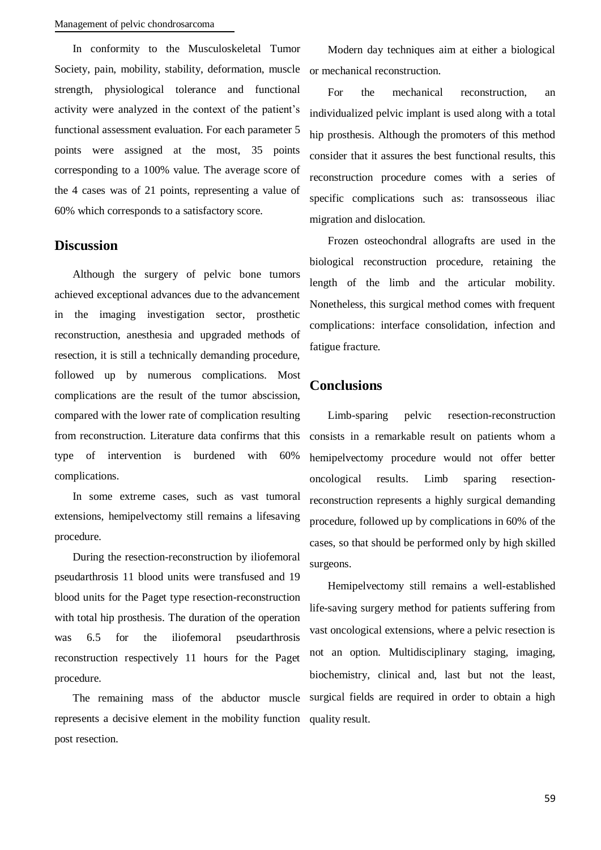In conformity to the Musculoskeletal Tumor Society, pain, mobility, stability, deformation, muscle strength, physiological tolerance and functional activity were analyzed in the context of the patient's functional assessment evaluation. For each parameter 5 points were assigned at the most, 35 points corresponding to a 100% value. The average score of the 4 cases was of 21 points, representing a value of 60% which corresponds to a satisfactory score.

### **Discussion**

Although the surgery of pelvic bone tumors achieved exceptional advances due to the advancement in the imaging investigation sector, prosthetic reconstruction, anesthesia and upgraded methods of resection, it is still a technically demanding procedure, followed up by numerous complications. Most complications are the result of the tumor abscission, compared with the lower rate of complication resulting from reconstruction. Literature data confirms that this type of intervention is burdened with 60% complications.

In some extreme cases, such as vast tumoral extensions, hemipelvectomy still remains a lifesaving procedure.

During the resection-reconstruction by iliofemoral pseudarthrosis 11 blood units were transfused and 19 blood units for the Paget type resection-reconstruction with total hip prosthesis. The duration of the operation was 6.5 for the iliofemoral pseudarthrosis reconstruction respectively 11 hours for the Paget procedure.

The remaining mass of the abductor muscle represents a decisive element in the mobility function post resection.

Modern day techniques aim at either a biological or mechanical reconstruction.

For the mechanical reconstruction, an individualized pelvic implant is used along with a total hip prosthesis. Although the promoters of this method consider that it assures the best functional results, this reconstruction procedure comes with a series of specific complications such as: transosseous iliac migration and dislocation.

Frozen osteochondral allografts are used in the biological reconstruction procedure, retaining the length of the limb and the articular mobility. Nonetheless, this surgical method comes with frequent complications: interface consolidation, infection and fatigue fracture.

## **Conclusions**

Limb-sparing pelvic resection-reconstruction consists in a remarkable result on patients whom a hemipelvectomy procedure would not offer better oncological results. Limb sparing resectionreconstruction represents a highly surgical demanding procedure, followed up by complications in 60% of the cases, so that should be performed only by high skilled surgeons.

Hemipelvectomy still remains a well-established life-saving surgery method for patients suffering from vast oncological extensions, where a pelvic resection is not an option. Multidisciplinary staging, imaging, biochemistry, clinical and, last but not the least, surgical fields are required in order to obtain a high quality result.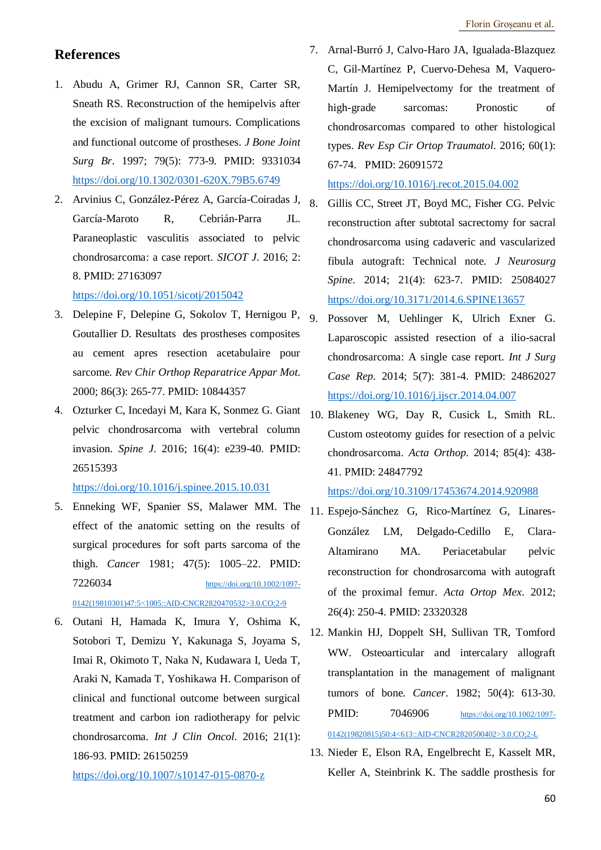## **References**

- 1. Abudu A, Grimer RJ, Cannon SR, Carter SR, Sneath RS. Reconstruction of the hemipelvis after the excision of malignant tumours. Complications and functional outcome of prostheses. *J Bone Joint Surg Br*. 1997; 79(5): 773-9. PMID: 9331034 <https://doi.org/10.1302/0301-620X.79B5.6749>
- 2. Arvinius C, González-Pérez A, García-Coiradas J, García-Maroto R, Cebrián-Parra JL. Paraneoplastic vasculitis associated to pelvic chondrosarcoma: a case report. *SICOT J*. 2016; 2: 8. PMID: 27163097

<https://doi.org/10.1051/sicotj/2015042>

- 3. Delepine F, Delepine G, Sokolov T, Hernigou P, Goutallier D. Resultats des prostheses composites au cement apres resection acetabulaire pour sarcome. *Rev Chir Orthop Reparatrice Appar Mot*. 2000; 86(3): 265-77. PMID: 10844357
- 4. Ozturker C, Incedayi M, Kara K, Sonmez G. Giant pelvic chondrosarcoma with vertebral column invasion. *Spine J*. 2016; 16(4): e239-40. PMID: 26515393

<https://doi.org/10.1016/j.spinee.2015.10.031>

5. Enneking WF, Spanier SS, Malawer MM. The effect of the anatomic setting on the results of surgical procedures for soft parts sarcoma of the thigh. *Cancer* 1981; 47(5): 1005–22. PMID: 7226034 [https://doi.org/10.1002/1097-](https://doi.org/10.1002/1097-0142(19810301)47:5%3c1005::AID-CNCR2820470532%3e3.0.CO;2-9) [0142\(19810301\)47:5<1005::AID-CNCR2820470532>3.0.CO;2-9](https://doi.org/10.1002/1097-0142(19810301)47:5%3c1005::AID-CNCR2820470532%3e3.0.CO;2-9)

```
6. Outani H, Hamada K, Imura Y, Oshima K, 
Sotobori T, Demizu Y, Kakunaga S, Joyama S, 
Imai R, Okimoto T, Naka N, Kudawara I, Ueda T, 
Araki N, Kamada T, Yoshikawa H. Comparison of 
clinical and functional outcome between surgical 
treatment and carbon ion radiotherapy for pelvic 
chondrosarcoma. Int J Clin Oncol. 2016; 21(1):
186-93. PMID: 26150259
```
<https://doi.org/10.1007/s10147-015-0870-z>

7. Arnal-Burró J, Calvo-Haro JA, Igualada-Blazquez C, Gil-Martínez P, Cuervo-Dehesa M, Vaquero-Martín J. Hemipelvectomy for the treatment of high-grade sarcomas: Pronostic of chondrosarcomas compared to other histological types. *Rev Esp Cir Ortop Traumatol*. 2016; 60(1): 67-74. PMID: 26091572

<https://doi.org/10.1016/j.recot.2015.04.002>

- 8. Gillis CC, Street JT, Boyd MC, Fisher CG. Pelvic reconstruction after subtotal sacrectomy for sacral chondrosarcoma using cadaveric and vascularized fibula autograft: Technical note. *J Neurosurg Spine*. 2014; 21(4): 623-7. PMID: 25084027 <https://doi.org/10.3171/2014.6.SPINE13657>
- Possover M, Uehlinger K, Ulrich Exner G. Laparoscopic assisted resection of a ilio-sacral chondrosarcoma: A single case report. *Int J Surg Case Rep*. 2014; 5(7): 381-4. PMID: 24862027 <https://doi.org/10.1016/j.ijscr.2014.04.007>
- 10. Blakeney WG, Day R, Cusick L, Smith RL. Custom osteotomy guides for resection of a pelvic chondrosarcoma. *Acta Orthop*. 2014; 85(4): 438- 41. PMID: 24847792

<https://doi.org/10.3109/17453674.2014.920988>

- 11. Espejo-Sánchez G, Rico-Martínez G, Linares-González LM, Delgado-Cedillo E, Clara-Altamirano MA. Periacetabular pelvic reconstruction for chondrosarcoma with autograft of the proximal femur. *Acta Ortop Mex*. 2012; 26(4): 250-4. PMID: 23320328
- 12. Mankin HJ, Doppelt SH, Sullivan TR, Tomford WW. Osteoarticular and intercalary allograft transplantation in the management of malignant tumors of bone. *Cancer*. 1982; 50(4): 613-30. PMID: 7046906 [https://doi.org/10.1002/1097-](https://doi.org/10.1002/1097-0142(19820815)50:4%3c613::AID-CNCR2820500402%3e3.0.CO;2-L)

[0142\(19820815\)50:4<613::AID-CNCR2820500402>3.0.CO;2-L](https://doi.org/10.1002/1097-0142(19820815)50:4%3c613::AID-CNCR2820500402%3e3.0.CO;2-L)

13. Nieder E, Elson RA, Engelbrecht E, Kasselt MR, Keller A, Steinbrink K. The saddle prosthesis for